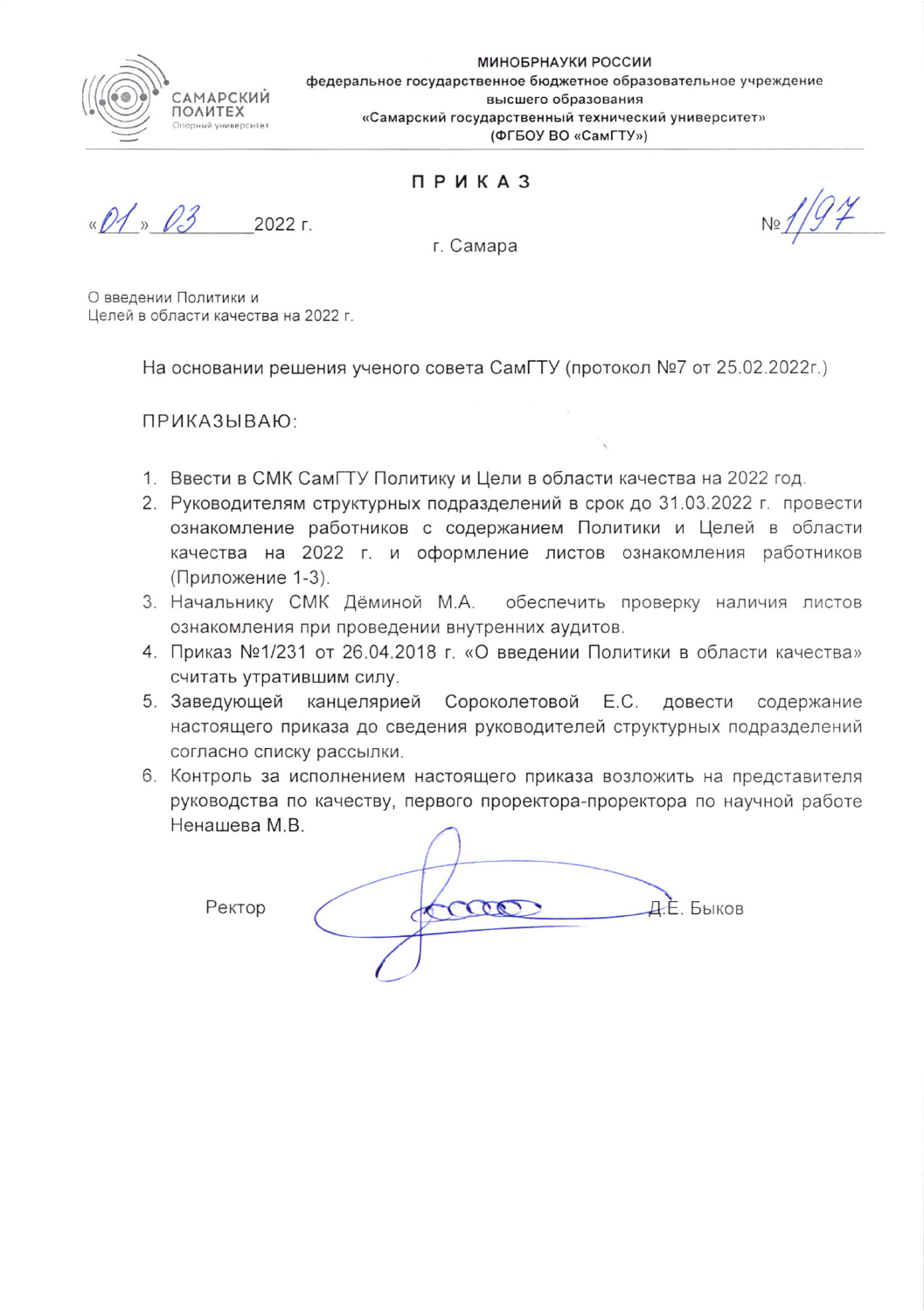

МИНОБРНАУКИ РОССИИ федеральное государственное бюджетное образовательное учреждение высшего образования «Самарский государственный технический университет» (ФГБОУ ВО «СамГТУ»)

## ПРИКАЗ

 $0102$  $2022r$ 

г. Самара

О введении Политики и Целей в области качества на 2022 г.

На основании решения ученого совета СамГТУ (протокол №7 от 25.02.2022г.)

ПРИКАЗЫВАЮ:

- 1. Ввести в СМК СамГТУ Политику и Цели в области качества на 2022 год.
- 2. Руководителям структурных подразделений в срок до 31.03.2022 г. провести ознакомление работников с содержанием Политики и Целей в области качества на 2022 г. и оформление листов ознакомления работников (Приложение 1-3).
- 3. Начальнику СМК Дёминой М.А. обеспечить проверку наличия листов ознакомления при проведении внутренних аудитов.
- 4. Приказ №1/231 от 26.04.2018 г. «О введении Политики в области качества» считать утратившим силу.
- 5. Заведующей канцелярией Сороколетовой Е.С. довести содержание настоящего приказа до сведения руководителей структурных подразделений согласно списку рассылки.
- 6. Контроль за исполнением настоящего приказа возложить на представителя руководства по качеству, первого проректора-проректора по научной работе Ненашева М.В.

Ректор

COO Д.Е. Быков d